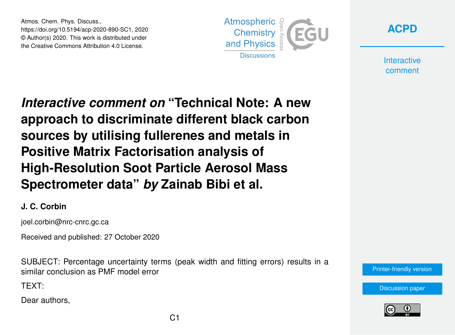Atmos. Chem. Phys. Discuss., https://doi.org/10.5194/acp-2020-890-SC1, 2020 © Author(s) 2020. This work is distributed under the Creative Commons Attribution 4.0 License.





**Interactive** comment

*Interactive comment on* **"Technical Note: A new approach to discriminate different black carbon sources by utilising fullerenes and metals in Positive Matrix Factorisation analysis of High-Resolution Soot Particle Aerosol Mass Spectrometer data"** *by* **Zainab Bibi et al.**

## **J. C. Corbin**

joel.corbin@nrc-cnrc.gc.ca

Received and published: 27 October 2020

SUBJECT: Percentage uncertainty terms (peak width and fitting errors) results in a similar conclusion as PMF model error

TEXT:

Dear authors,

[Printer-friendly version](https://acp.copernicus.org/preprints/acp-2020-890/acp-2020-890-SC1-print.pdf)

[Discussion paper](https://acp.copernicus.org/preprints/acp-2020-890)

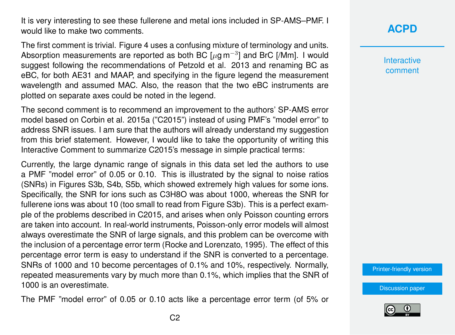It is very interesting to see these fullerene and metal ions included in SP-AMS–PMF. I would like to make two comments.

The first comment is trivial. Figure 4 uses a confusing mixture of terminology and units. Absorption measurements are reported as both BC [ $\mu$ g m<sup>-3</sup>] and BrC [/Mm]. I would suggest following the recommendations of Petzold et al. 2013 and renaming BC as eBC, for both AE31 and MAAP, and specifying in the figure legend the measurement wavelength and assumed MAC. Also, the reason that the two eBC instruments are plotted on separate axes could be noted in the legend.

The second comment is to recommend an improvement to the authors' SP-AMS error model based on Corbin et al. 2015a ("C2015") instead of using PMF's "model error" to address SNR issues. I am sure that the authors will already understand my suggestion from this brief statement. However, I would like to take the opportunity of writing this Interactive Comment to summarize C2015's message in simple practical terms:

Currently, the large dynamic range of signals in this data set led the authors to use a PMF "model error" of 0.05 or 0.10. This is illustrated by the signal to noise ratios (SNRs) in Figures S3b, S4b, S5b, which showed extremely high values for some ions. Specifically, the SNR for ions such as C3H8O was about 1000, whereas the SNR for fullerene ions was about 10 (too small to read from Figure S3b). This is a perfect example of the problems described in C2015, and arises when only Poisson counting errors are taken into account. In real-world instruments, Poisson-only error models will almost always overestimate the SNR of large signals, and this problem can be overcome with the inclusion of a percentage error term (Rocke and Lorenzato, 1995). The effect of this percentage error term is easy to understand if the SNR is converted to a percentage. SNRs of 1000 and 10 become percentages of 0.1% and 10%, respectively. Normally, repeated measurements vary by much more than 0.1%, which implies that the SNR of 1000 is an overestimate.

The PMF "model error" of 0.05 or 0.10 acts like a percentage error term (of 5% or

## **[ACPD](https://acp.copernicus.org/preprints/)**

**Interactive** comment

[Printer-friendly version](https://acp.copernicus.org/preprints/acp-2020-890/acp-2020-890-SC1-print.pdf)

[Discussion paper](https://acp.copernicus.org/preprints/acp-2020-890)

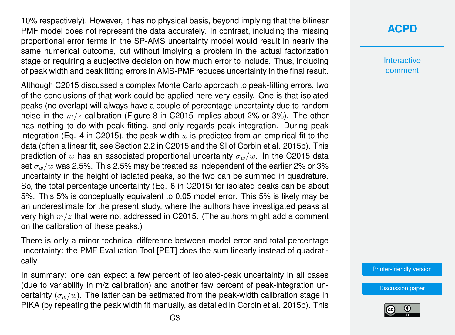10% respectively). However, it has no physical basis, beyond implying that the bilinear PMF model does not represent the data accurately. In contrast, including the missing proportional error terms in the SP-AMS uncertainty model would result in nearly the same numerical outcome, but without implying a problem in the actual factorization stage or requiring a subjective decision on how much error to include. Thus, including of peak width and peak fitting errors in AMS-PMF reduces uncertainty in the final result.

Although C2015 discussed a complex Monte Carlo approach to peak-fitting errors, two of the conclusions of that work could be applied here very easily. One is that isolated peaks (no overlap) will always have a couple of percentage uncertainty due to random noise in the  $m/z$  calibration (Figure 8 in C2015 implies about 2% or 3%). The other has nothing to do with peak fitting, and only regards peak integration. During peak integration (Eq. 4 in C2015), the peak width  $w$  is predicted from an empirical fit to the data (often a linear fit, see Section 2.2 in C2015 and the SI of Corbin et al. 2015b). This prediction of w has an associated proportional uncertainty  $\sigma_w/w$ . In the C2015 data set  $\sigma_w/w$  was 2.5%. This 2.5% may be treated as independent of the earlier 2% or 3% uncertainty in the height of isolated peaks, so the two can be summed in quadrature. So, the total percentage uncertainty (Eq. 6 in C2015) for isolated peaks can be about 5%. This 5% is conceptually equivalent to 0.05 model error. This 5% is likely may be an underestimate for the present study, where the authors have investigated peaks at very high  $m/z$  that were not addressed in C2015. (The authors might add a comment on the calibration of these peaks.)

There is only a minor technical difference between model error and total percentage uncertainty: the PMF Evaluation Tool [PET] does the sum linearly instead of quadratically.

In summary: one can expect a few percent of isolated-peak uncertainty in all cases (due to variability in m/z calibration) and another few percent of peak-integration uncertainty  $(\sigma_w/w)$ . The latter can be estimated from the peak-width calibration stage in PIKA (by repeating the peak width fit manually, as detailed in Corbin et al. 2015b). This

## **[ACPD](https://acp.copernicus.org/preprints/)**

Interactive comment

[Printer-friendly version](https://acp.copernicus.org/preprints/acp-2020-890/acp-2020-890-SC1-print.pdf)

[Discussion paper](https://acp.copernicus.org/preprints/acp-2020-890)